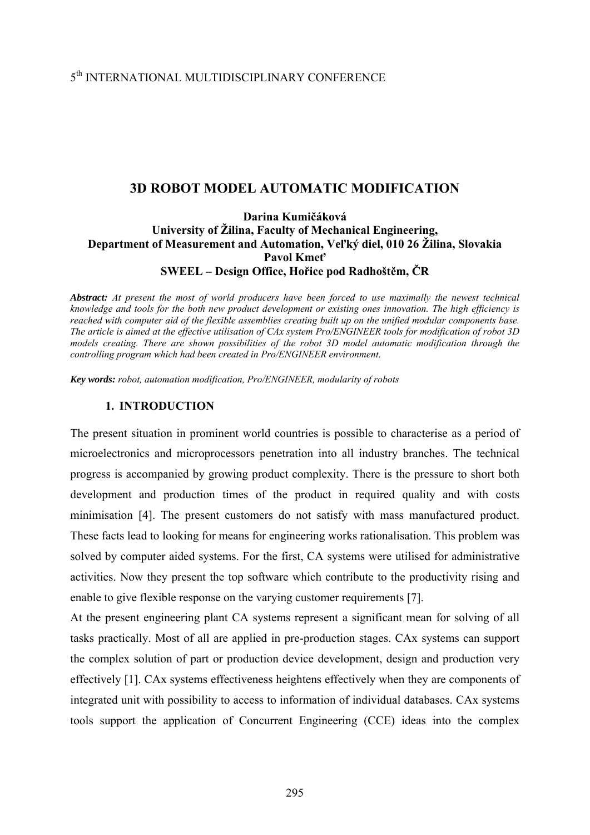## 5th INTERNATIONAL MULTIDISCIPLINARY CONFERENCE

## **3D ROBOT MODEL AUTOMATIC MODIFICATION**

## **Darina Kumičáková University of Žilina, Faculty of Mechanical Engineering, Department of Measurement and Automation, Veľký diel, 010 26 Žilina, Slovakia Pavol Kmeť SWEEL – Design Office, Hořice pod Radhoštěm, ČR**

*Abstract: At present the most of world producers have been forced to use maximally the newest technical knowledge and tools for the both new product development or existing ones innovation. The high efficiency is reached with computer aid of the flexible assemblies creating built up on the unified modular components base. The article is aimed at the effective utilisation of CAx system Pro/ENGINEER tools for modification of robot 3D models creating. There are shown possibilities of the robot 3D model automatic modification through the controlling program which had been created in Pro/ENGINEER environment.* 

*Key words: robot, automation modification, Pro/ENGINEER, modularity of robots*

#### **1. INTRODUCTION**

The present situation in prominent world countries is possible to characterise as a period of microelectronics and microprocessors penetration into all industry branches. The technical progress is accompanied by growing product complexity. There is the pressure to short both development and production times of the product in required quality and with costs minimisation [4]. The present customers do not satisfy with mass manufactured product. These facts lead to looking for means for engineering works rationalisation. This problem was solved by computer aided systems. For the first, CA systems were utilised for administrative activities. Now they present the top software which contribute to the productivity rising and enable to give flexible response on the varying customer requirements [7].

At the present engineering plant CA systems represent a significant mean for solving of all tasks practically. Most of all are applied in pre-production stages. CAx systems can support the complex solution of part or production device development, design and production very effectively [1]. CAx systems effectiveness heightens effectively when they are components of integrated unit with possibility to access to information of individual databases. CAx systems tools support the application of Concurrent Engineering (CCE) ideas into the complex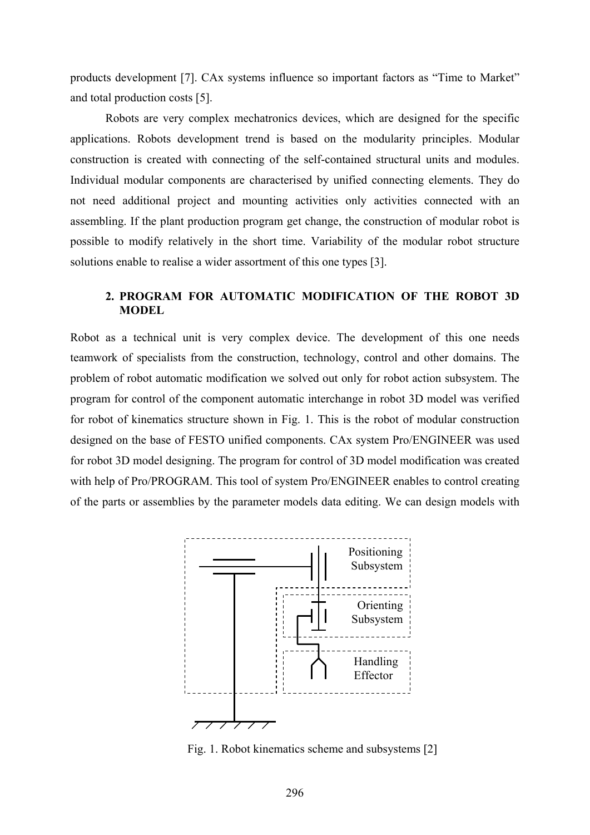products development [7]. CAx systems influence so important factors as "Time to Market" and total production costs [5].

Robots are very complex mechatronics devices, which are designed for the specific applications. Robots development trend is based on the modularity principles. Modular construction is created with connecting of the self-contained structural units and modules. Individual modular components are characterised by unified connecting elements. They do not need additional project and mounting activities only activities connected with an assembling. If the plant production program get change, the construction of modular robot is possible to modify relatively in the short time. Variability of the modular robot structure solutions enable to realise a wider assortment of this one types [3].

## **2. PROGRAM FOR AUTOMATIC MODIFICATION OF THE ROBOT 3D MODEL**

Robot as a technical unit is very complex device. The development of this one needs teamwork of specialists from the construction, technology, control and other domains. The problem of robot automatic modification we solved out only for robot action subsystem. The program for control of the component automatic interchange in robot 3D model was verified for robot of kinematics structure shown in Fig. 1. This is the robot of modular construction designed on the base of FESTO unified components. CAx system Pro/ENGINEER was used for robot 3D model designing. The program for control of 3D model modification was created with help of Pro/PROGRAM. This tool of system Pro/ENGINEER enables to control creating of the parts or assemblies by the parameter models data editing. We can design models with



Fig. 1. Robot kinematics scheme and subsystems [2]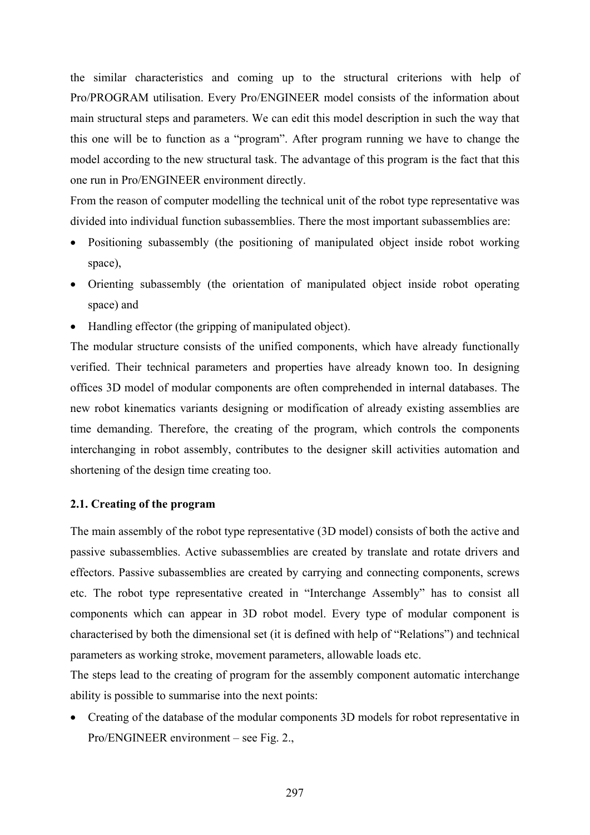the similar characteristics and coming up to the structural criterions with help of Pro/PROGRAM utilisation. Every Pro/ENGINEER model consists of the information about main structural steps and parameters. We can edit this model description in such the way that this one will be to function as a "program". After program running we have to change the model according to the new structural task. The advantage of this program is the fact that this one run in Pro/ENGINEER environment directly.

From the reason of computer modelling the technical unit of the robot type representative was divided into individual function subassemblies. There the most important subassemblies are:

- Positioning subassembly (the positioning of manipulated object inside robot working space),
- Orienting subassembly (the orientation of manipulated object inside robot operating space) and
- Handling effector (the gripping of manipulated object).

The modular structure consists of the unified components, which have already functionally verified. Their technical parameters and properties have already known too. In designing offices 3D model of modular components are often comprehended in internal databases. The new robot kinematics variants designing or modification of already existing assemblies are time demanding. Therefore, the creating of the program, which controls the components interchanging in robot assembly, contributes to the designer skill activities automation and shortening of the design time creating too.

# **2.1. Creating of the program**

The main assembly of the robot type representative (3D model) consists of both the active and passive subassemblies. Active subassemblies are created by translate and rotate drivers and effectors. Passive subassemblies are created by carrying and connecting components, screws etc. The robot type representative created in "Interchange Assembly" has to consist all components which can appear in 3D robot model. Every type of modular component is characterised by both the dimensional set (it is defined with help of "Relations") and technical parameters as working stroke, movement parameters, allowable loads etc.

The steps lead to the creating of program for the assembly component automatic interchange ability is possible to summarise into the next points:

• Creating of the database of the modular components 3D models for robot representative in Pro/ENGINEER environment – see Fig. 2.,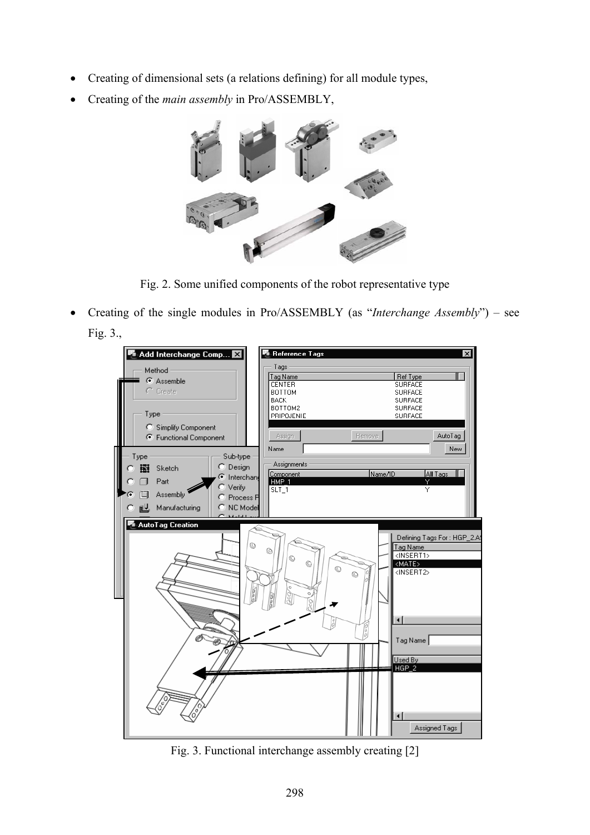- Creating of dimensional sets (a relations defining) for all module types,
- Creating of the *main assembly* in Pro/ASSEMBLY,



Fig. 2. Some unified components of the robot representative type

• Creating of the single modules in Pro/ASSEMBLY (as "*Interchange Assembly*") – see Fig. 3.,

| $\blacksquare$ Add Interchange Comp $\boxtimes$<br>Method<br>C Assemble<br>$\cap$ Create<br>Type<br>C Simplify Component<br>← Functional Component<br>Type<br>Sub-type<br>C Design<br>圈<br>Sketch<br>C Interchang<br>Part<br>Verify<br>Assembly<br>C Process P<br>C NC Model<br>些<br>Manufacturing<br>$1.4 - 1.4 - 1.$ | 啊 Reference Tags<br>$\vert x \vert$<br>Tags<br>Ref Type<br>Tag Name<br><b>CENTER</b><br><b>SURFACE</b><br><b>SURFACE</b><br>BOTTOM<br><b>BACK</b><br><b>SURFACE</b><br>BOTTOM2<br><b>SURFACE</b><br>PRIPOJENIE<br><b>SURFACE</b><br>Remove<br>AutoTag<br>Assign<br><b>New</b><br>Name<br>Assignments<br>Name/ID<br>All Tags<br>Component<br>Ÿ<br>HMP_1<br>SLT_1<br>Y  |
|------------------------------------------------------------------------------------------------------------------------------------------------------------------------------------------------------------------------------------------------------------------------------------------------------------------------|-----------------------------------------------------------------------------------------------------------------------------------------------------------------------------------------------------------------------------------------------------------------------------------------------------------------------------------------------------------------------|
| AutoTag Creation<br>$^{\circ}$<br>$\frac{5}{2}$                                                                                                                                                                                                                                                                        | Defining Tags For: HGP_2.A9<br>Tag Name<br>◎<br><insert1><br/><math>\circledcirc</math><br/>O<br/><math>\overline{\langle \text{MATE} \rangle}</math><br/>O<br/><insert2><br/>0<br/><math>\circ</math><br/>00<br/>ŏ<br/><math>\blacksquare</math><br/>Tag Name<br/>Used By<br/><math>HGP_2</math><br/><math>\blacksquare</math><br/>Assigned Tags</insert2></insert1> |

Fig. 3. Functional interchange assembly creating [2]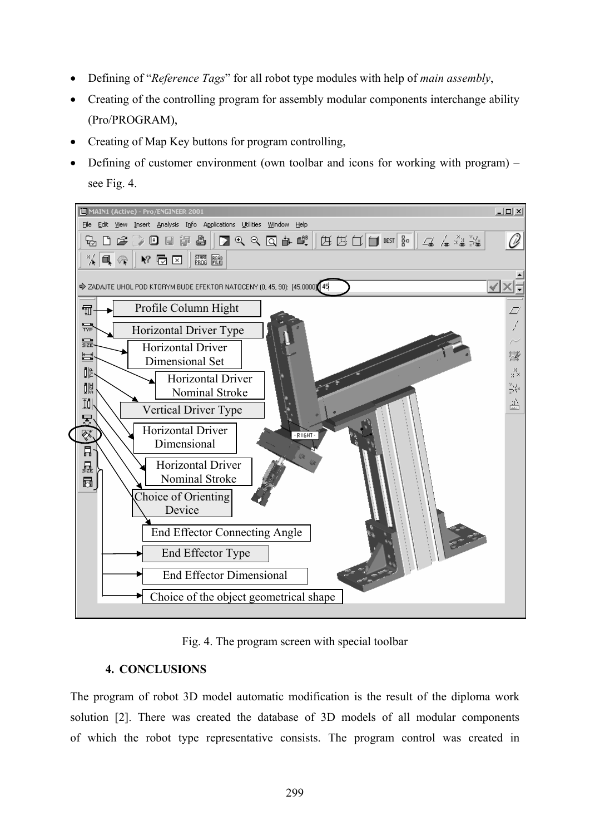- Defining of "*Reference Tags*" for all robot type modules with help of *main assembly*,
- Creating of the controlling program for assembly modular components interchange ability (Pro/PROGRAM),
- Creating of Map Key buttons for program controlling,
- Defining of customer environment (own toolbar and icons for working with program) see Fig. 4.



Fig. 4. The program screen with special toolbar

## **4. CONCLUSIONS**

The program of robot 3D model automatic modification is the result of the diploma work solution [2]. There was created the database of 3D models of all modular components of which the robot type representative consists. The program control was created in